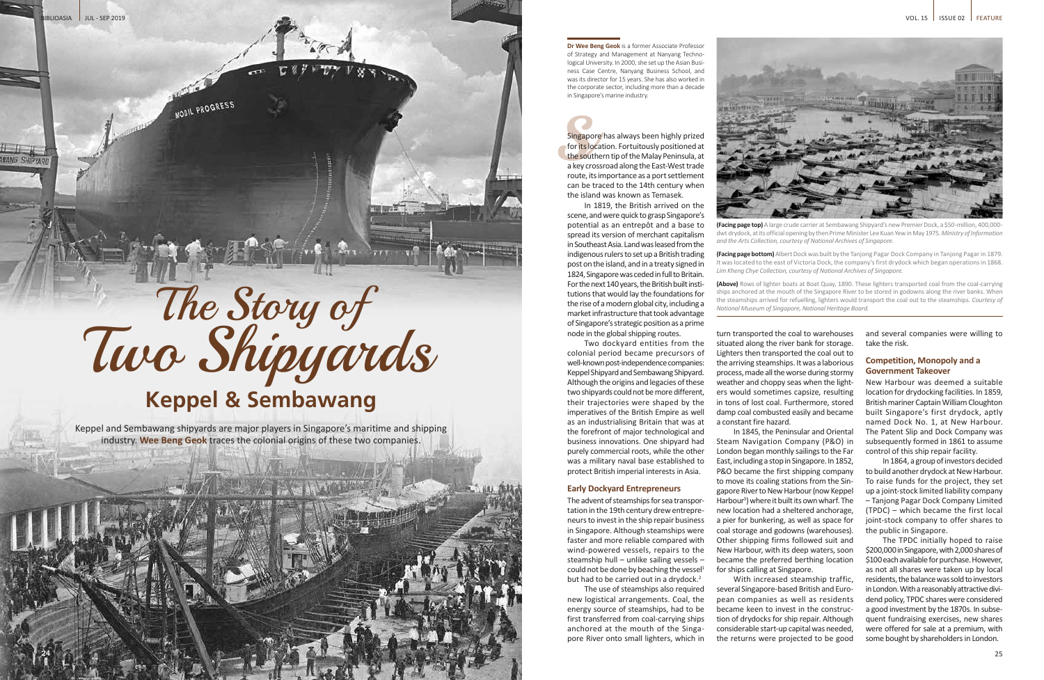

**(Facing page top)** A large crude carrier at Sembawang Shipyard's new Premier Dock, a \$50-million, 400,000dwt drydock, at its official opening by then Prime Minister Lee Kuan Yew in May 1975. *Ministry of Information and the Arts Collection, courtesy of National Archives of Singapore.* 

**(Facing page bottom)** Albert Dock was built by the Tanjong Pagar Dock Company in Tanjong Pagar in 1879. It was located to the east of Victoria Dock, the company's first drydock which began operations in 1868. *Lim Kheng Chye Collection, courtesy of National Archives of Singapore.*

**(Above)** Rows of lighter boats at Boat Quay, 1890. These lighters transported coal from the coal-carrying ships anchored at the mouth of the Singapore River to be stored in godowns along the river banks. When the steamships arrived for refuelling, lighters would transport the coal out to the steamships. *Courtesy of National Museum of Singapore, National Heritage Board.* 

the corporation<br>in Singapo<br>Singapo<br>for its lo<br>the sout<br>a key cro<br>route, it: Singapore has always been highly prized for its location. Fortuitously positioned at the southern tip of the Malay Peninsula, at a key crossroad along the East-West trade route, its importance as a port settlement can be traced to the 14th century when the island was known as Temasek.

**Dr Wee Beng Geok** is a former Associate Professor of Strategy and Management at Nanyang Technological University. In 2000, she set up the Asian Business Case Centre, Nanyang Business School, and was its director for 15 years. She has also worked in the corporate sector, including more than a decade in Singapore's marine industry.

The advent of steamships for sea transportation in the 19th century drew entrepreneurs to invest in the ship repair business in Singapore. Although steamships were faster and more reliable compared with wind-powered vessels, repairs to the steamship hull – unlike sailing vessels – could not be done by beaching the vessel $1$ but had to be carried out in a drydock.<sup>2</sup>

In 1819, the British arrived on the scene, and were quick to grasp Singapore's potential as an entrepôt and a base to spread its version of merchant capitalism in Southeast Asia. Land was leased from the indigenous rulers to set up a British trading post on the island, and in a treaty signed in 1824, Singapore was ceded in full to Britain. For the next 140 years, the British built institutions that would lay the foundations for the rise of a modern global city, including a market infrastructure that took advantage of Singapore's strategic position as a prime node in the global shipping routes.

Two dockyard entities from the colonial period became precursors of well-known post-independence companies: Keppel Shipyard and Sembawang Shipyard. Although the origins and legacies of these two shipyards could not be more different, their trajectories were shaped by the imperatives of the British Empire as well as an industrialising Britain that was at the forefront of major technological and business innovations. One shipyard had purely commercial roots, while the other was a military naval base established to protect British imperial interests in Asia.

### **Early Dockyard Entrepreneurs**

The use of steamships also required new logistical arrangements. Coal, the energy source of steamships, had to be first transferred from coal-carrying ships anchored at the mouth of the Singapore River onto small lighters, which in

# **Keppel & Sembawang**

Keppel and Sembawang shipyards are major players in Singapore's maritime and shipping industry. **Wee Beng Geok** traces the colonial origins of these two companies.

turn transported the coal to warehouses situated along the river bank for storage. Lighters then transported the coal out to the arriving steamships. It was a laborious process, made all the worse during stormy weather and choppy seas when the lighters would sometimes capsize, resulting in tons of lost coal. Furthermore, stored damp coal combusted easily and became a constant fire hazard.

In 1845, the Peninsular and Oriental Steam Navigation Company (P&O) in London began monthly sailings to the Far East, including a stop in Singapore. In 1852, P&O became the first shipping company to move its coaling stations from the Singapore River to New Harbour (now Keppel Harbour3 ) where it built its own wharf. The new location had a sheltered anchorage, a pier for bunkering, as well as space for coal storage and godowns (warehouses). Other shipping firms followed suit and New Harbour, with its deep waters, soon became the preferred berthing location for ships calling at Singapore.

With increased steamship traffic, several Singapore-based British and European companies as well as residents became keen to invest in the construction of drydocks for ship repair. Although considerable start-up capital was needed, the returns were projected to be good and several companies were willing to take the risk.

### **Competition, Monopoly and a Government Takeover**

New Harbour was deemed a suitable location for drydocking facilities. In 1859, British mariner Captain William Cloughton built Singapore's first drydock, aptly named Dock No. 1, at New Harbour. The Patent Slip and Dock Company was subsequently formed in 1861 to assume control of this ship repair facility.

In 1864, a group of investors decided to build another drydock at New Harbour. To raise funds for the project, they set up a joint-stock limited liability company – Tanjong Pagar Dock Company Limited (TPDC) – which became the first local joint-stock company to offer shares to the public in Singapore.

The TPDC initially hoped to raise \$200,000 in Singapore, with 2,000 shares of \$100 each available for purchase. However, as not all shares were taken up by local residents, the balance was sold to investors in London. With a reasonably attractive dividend policy, TPDC shares were considered a good investment by the 1870s. In subsequent fundraising exercises, new shares were offered for sale at a premium, with some bought by shareholders in London.

 $BIOASIA$   $III - SFP 2019$ 

24

# The Story of<br>Two Shipyards

MOBIL PROGRESS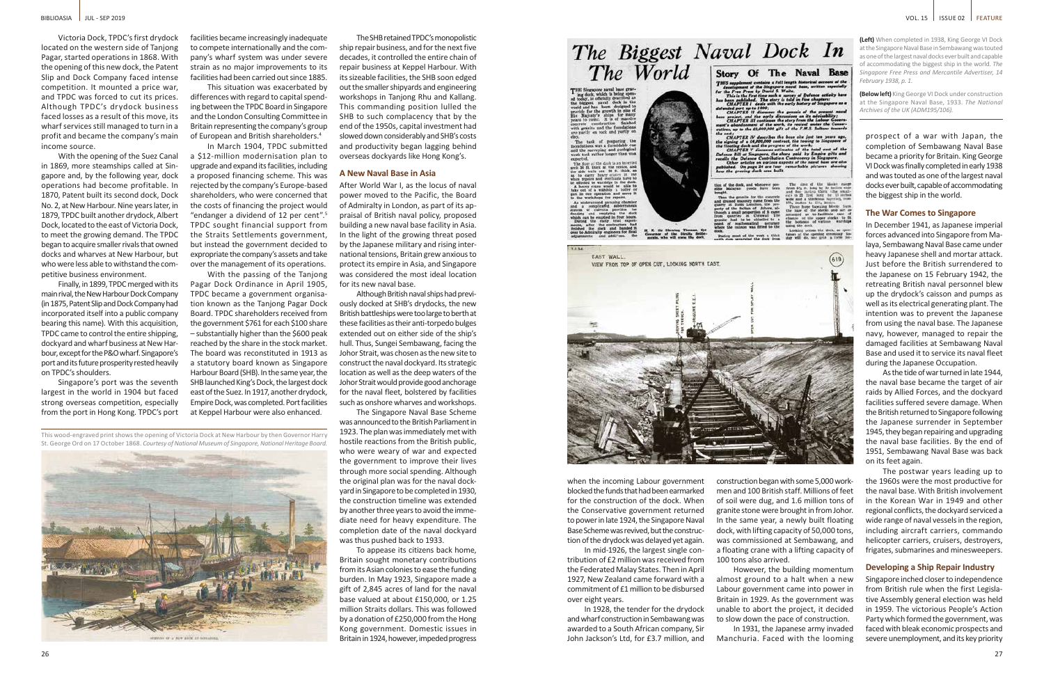This wood-engraved print shows the opening of Victoria Dock at New Harbour by then Governor Harry St. George Ord on 17 October 1868. *Courtesy of National Museum of Singapore, National Heritage Board.* 



**(Left)** When completed in 1938, King George VI Dock at the Singapore Naval Base in Sembawang was touted as one of the largest naval docks ever built and capable of accommodating the biggest ship in the world. *The Singapore Free Press and Mercantile Advertiser, 14 February 1938, p. 1.*

**(Below left)** King George VI Dock under construction at the Singapore Naval Base, 1933. *The National Archives of the UK (ADM195/106).*

Victoria Dock, TPDC's first drydock located on the western side of Tanjong Pagar, started operations in 1868. With the opening of this new dock, the Patent Slip and Dock Company faced intense competition. It mounted a price war, and TPDC was forced to cut its prices. Although TPDC's drydock business faced losses as a result of this move, its wharf services still managed to turn in a profit and became the company's main income source.

With the opening of the Suez Canal in 1869, more steamships called at Singapore and, by the following year, dock operations had become profitable. In 1870, Patent built its second dock, Dock No. 2, at New Harbour. Nine years later, in 1879, TPDC built another drydock, Albert Dock, located to the east of Victoria Dock, to meet the growing demand. The TPDC began to acquire smaller rivals that owned docks and wharves at New Harbour, but who were less able to withstand the competitive business environment.

Finally, in 1899, TPDC merged with its main rival, the New Harbour Dock Company (in 1875, Patent Slip and Dock Company had incorporated itself into a public company bearing this name). With this acquisition, TPDC came to control the entire shipping, dockyard and wharf business at New Harbour, except for the P&O wharf. Singapore's port and its future prosperity rested heavily on TPDC's shoulders.

Singapore's port was the seventh largest in the world in 1904 but faced strong overseas competition, especially from the port in Hong Kong. TPDC's port

facilities became increasingly inadequate to compete internationally and the company's wharf system was under severe strain as no major improvements to its facilities had been carried out since 1885.

This situation was exacerbated by differences with regard to capital spending between the TPDC Board in Singapore and the London Consulting Committee in Britain representing the company's group of European and British shareholders.4

In March 1904, TPDC submitted a \$12-million modernisation plan to upgrade and expand its facilities, including a proposed financing scheme. This was rejected by the company's Europe-based shareholders, who were concerned that the costs of financing the project would "endanger a dividend of 12 per cent".5 TPDC sought financial support from the Straits Settlements government, but instead the government decided to expropriate the company's assets and take over the management of its operations.

With the passing of the Tanjong Pagar Dock Ordinance in April 1905, TPDC became a government organisation known as the Tanjong Pagar Dock Board. TPDC shareholders received from the government \$761 for each \$100 share – substantially higher than the \$600 peak reached by the share in the stock market. The board was reconstituted in 1913 as a statutory board known as Singapore Harbour Board (SHB). In the same year, the SHB launched King's Dock, the largest dock east of the Suez. In 1917, another drydock, Empire Dock, was completed. Port facilities at Keppel Harbour were also enhanced.

The SHB retained TPDC's monopolistic ship repair business, and for the next five decades, it controlled the entire chain of repair business at Keppel Harbour. With its sizeable facilities, the SHB soon edged out the smaller shipyards and engineering workshops in Tanjong Rhu and Kallang. This commanding position lulled the SHB to such complacency that by the end of the 1950s, capital investment had slowed down considerably and SHB's costs and productivity began lagging behind overseas dockyards like Hong Kong's.

### **A New Naval Base in Asia**

After World War I, as the locus of naval power moved to the Pacific, the Board of Admiralty in London, as part of its appraisal of British naval policy, proposed building a new naval base facility in Asia. In the light of the growing threat posed by the Japanese military and rising international tensions, Britain grew anxious to protect its empire in Asia, and Singapore was considered the most ideal location for its new naval base.

Although British naval ships had previously docked at SHB's drydocks, the new British battleships were too large to berth at these facilities as their anti-torpedo bulges extended out on either side of the ship's hull. Thus, Sungei Sembawang, facing the Johor Strait, was chosen as the new site to construct the naval dockyard. Its strategic location as well as the deep waters of the Johor Strait would provide good anchorage for the naval fleet, bolstered by facilities such as onshore wharves and workshops.

The Singapore Naval Base Scheme was announced to the British Parliament in 1923. The plan was immediately met with hostile reactions from the British public, who were weary of war and expected the government to improve their lives through more social spending. Although the original plan was for the naval dockyard in Singapore to be completed in 1930, the construction timeline was extended by another three years to avoid the immediate need for heavy expenditure. The completion date of the naval dockyard was thus pushed back to 1933.

To appease its citizens back home, Britain sought monetary contributions from its Asian colonies to ease the funding burden. In May 1923, Singapore made a gift of 2,845 acres of land for the naval base valued at about £150,000, or 1.25 million Straits dollars. This was followed by a donation of £250,000 from the Hong Kong government. Domestic issues in Britain in 1924, however, impeded progress

## The Biggest Naval Dock In The World Story Of The Naval Base

ships for

foondations was a formidable car<br>and the surveying and prological<br>work took rather longer than was

of the dook is an inverted<br>thick at the centre, and<br>alls are 30 ft. thick, so

hed. On pag





when the incoming Labour government blocked the funds that had been earmarked for the construction of the dock. When the Conservative government returned to power in late 1924, the Singapore Naval Base Scheme was revived, but the construction of the drydock was delayed yet again.

In mid-1926, the largest single contribution of £2 million was received from the Federated Malay States. Then in April 1927, New Zealand came forward with a commitment of £1 million to be disbursed over eight years.

In 1928, the tender for the drydock and wharf construction in Sembawang was awarded to a South African company, Sir John Jackson's Ltd, for £3.7 million, and

construction began with some 5,000 workmen and 100 British staff. Millions of feet of soil were dug, and 1.6 million tons of granite stone were brought in from Johor. In the same year, a newly built floating dock, with lifting capacity of 50,000 tons, was commissioned at Sembawang, and a floating crane with a lifting capacity of 100 tons also arrived.

However, the building momentum almost ground to a halt when a new Labour government came into power in Britain in 1929. As the government was unable to abort the project, it decided to slow down the pace of construction.

In 1931, the Japanese army invaded Manchuria. Faced with the looming



ine a full lengt I development of the Singapore need boss, written aspecially<br>for the Free Frees by Dossid, S. Waits.<br>This is the first time such a survey of Defence activity here<br>has been published. The story is told in free chapters<br>CHAP

ded port up to 1900;<br>CHAPTER II discusses the gene

project, and the early<br>CHAPTER III continues<br>'s abandonment of the

CHAPTER IV describes the be igning of a £4,000,000 contract, the<br>loating dock and the progress of the<br>CHAPTER V discusses estimates o

prospect of a war with Japan, the completion of Sembawang Naval Base became a priority for Britain. King George VI Dock was finally completed in early 1938 and was touted as one of the largest naval docks ever built, capable of accommodating the biggest ship in the world.

### **The War Comes to Singapore**

In December 1941, as Japanese imperial forces advanced into Singapore from Malaya, Sembawang Naval Base came under heavy Japanese shell and mortar attack. Just before the British surrendered to the Japanese on 15 February 1942, the retreating British naval personnel blew up the drydock's caisson and pumps as well as its electrical generating plant. The intention was to prevent the Japanese from using the naval base. The Japanese navy, however, managed to repair the damaged facilities at Sembawang Naval Base and used it to service its naval fleet during the Japanese Occupation.

As the tide of war turned in late 1944, the naval base became the target of air raids by Allied Forces, and the dockyard facilities suffered severe damage. When the British returned to Singapore following the Japanese surrender in September 1945, they began repairing and upgrading the naval base facilities. By the end of 1951, Sembawang Naval Base was back on its feet again.

The postwar years leading up to the 1960s were the most productive for the naval base. With British involvement in the Korean War in 1949 and other regional conflicts, the dockyard serviced a wide range of naval vessels in the region, including aircraft carriers, commando helicopter carriers, cruisers, destroyers, frigates, submarines and minesweepers.

### **Developing a Ship Repair Industry**

Singapore inched closer to independence from British rule when the first Legislative Assembly general election was held in 1959. The victorious People's Action Party which formed the government, was faced with bleak economic prospects and severe unemployment, and its key priority